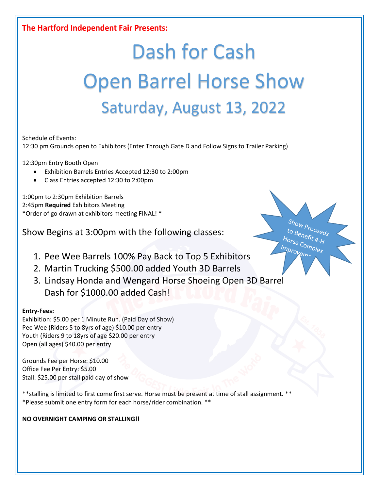### The Hartford Independent Fair Presents:

# Dash for Cash Open Barrel Horse Show Saturday, August 13, 2022

 $\frac{S_{h_{OW}}}{S_{h_{P}}}}$  to  $\frac{S_{h_{Q}}}{S_{h_{Q}}}}$ to Benefit 4-H<br>lorse Com Horse Complex<br>Inprovement

Improve

Schedule of Events:

12:30 pm Grounds open to Exhibitors (Enter Through Gate D and Follow Signs to Trailer Parking)

12:30pm Entry Booth Open

- Exhibition Barrels Entries Accepted 12:30 to 2:00pm
- Class Entries accepted 12:30 to 2:00pm

1:00pm to 2:30pm Exhibition Barrels 2:45pm **Required** Exhibitors Meeting \*Order of go drawn at exhibitors meeting FINAL! \*

Show Begins at 3:00pm with the following classes:

- 1. Pee Wee Barrels 100% Pay Back to Top 5 Exhibitors
- 2. Martin Trucking \$500.00 added Youth 3D Barrels
- 3. Lindsay Honda and Wengard Horse Shoeing Open 3D Barrel Dash for \$1000.00 added Cash!

#### **Entry-Fees:**

Exhibition: \$5.00 per 1 Minute Run. (Paid Day of Show) Pee Wee (Riders 5 to 8yrs of age) \$10.00 per entry Youth (Riders 9 to 18yrs of age \$20.00 per entry Open (all ages) \$40.00 per entry

Grounds Fee per Horse: \$10.00 Office Fee Per Entry: \$5.00 Stall: \$25.00 per stall paid day of show

\*\*stalling is limited to first come first serve. Horse must be present at time of stall assignment. \*\* \*Please submit one entry form for each horse/rider combination. \*\*

#### **NO OVERNIGHT CAMPING OR STALLING!!**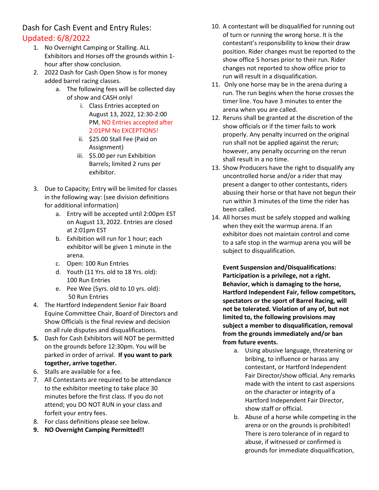Dash for Cash Event and Entry Rules: Updated: 6/8/2022

- 1. No Overnight Camping or Stalling. ALL Exhibitors and Horses off the grounds within 1 hour after show conclusion.
- 2. 2022 Dash for Cash Open Show is for money added barrel racing classes.
	- a. The following fees will be collected day of show and CASH only!
		- i. Class Entries accepted on August 13, 2022, 12:30-2:00 PM, NO Entries accepted after 2:01PM No EXCEPTIONS!
		- ii. \$25.00 Stall Fee (Paid on Assignment)
		- iii. \$5.00 per run Exhibition Barrels; limited 2 runs per exhibitor.
- 3. Due to Capacity; Entry will be limited for classes in the following way: (see division definitions for additional information)
	- a. Entry will be accepted until 2:00pm EST on August 13, 2022. Entries are closed at 2:01pm EST
	- b. Exhibition will run for 1 hour; each exhibitor will be given 1 minute in the arena.
	- c. Open: 100 Run Entries
	- d. Youth (11 Yrs. old to 18 Yrs. old): 100 Run Entries
	- e. Pee Wee (5yrs. old to 10 yrs. old): 50 Run Entries
- 4. The Hartford Independent Senior Fair Board Equine Committee Chair, Board of Directors and Show Officials is the final review and decision on all rule disputes and disqualifications.
- **5.** Dash for Cash Exhibitors will NOT be permitted on the grounds before 12:30pm. You will be parked in order of arrival. **If you want to park together, arrive together.**
- 6. Stalls are available for a fee.
- 7. All Contestants are required to be attendance to the exhibitor meeting to take place 30 minutes before the first class. If you do not attend; you DO NOT RUN in your class and forfeit your entry fees.
- 8. For class definitions please see below.
- **9. NO Overnight Camping Permitted!!**
- 10. A contestant will be disqualified for running out of turn or running the wrong horse. It is the contestant's responsibility to know their draw position. Rider changes must be reported to the show office 5 horses prior to their run. Rider changes not reported to show office prior to run will result in a disqualification.
- 11. Only one horse may be in the arena during a run. The run begins when the horse crosses the timer line. You have 3 minutes to enter the arena when you are called.
- 12. Reruns shall be granted at the discretion of the show officials or if the timer fails to work properly. Any penalty incurred on the original run shall not be applied against the rerun; however, any penalty occurring on the rerun shall result in a no time.
- 13. Show Producers have the right to disqualify any uncontrolled horse and/or a rider that may present a danger to other contestants, riders abusing their horse or that have not begun their run within 3 minutes of the time the rider has been called.
- 14. All horses must be safely stopped and walking when they exit the warmup arena. If an exhibitor does not maintain control and come to a safe stop in the warmup arena you will be subject to disqualification.

**Event Suspension and/Disqualifications: Participation is a privilege, not a right. Behavior, which is damaging to the horse, Hartford Independent Fair, fellow competitors, spectators or the sport of Barrel Racing, will not be tolerated. Violation of any of, but not limited to, the following provisions may subject a member to disqualification, removal from the grounds immediately and/or ban from future events.** 

- a. Using abusive language, threatening or bribing, to influence or harass any contestant, or Hartford Independent Fair Director/show official. Any remarks made with the intent to cast aspersions on the character or integrity of a Hartford Independent Fair Director, show staff or official.
- b. Abuse of a horse while competing in the arena or on the grounds is prohibited! There is zero tolerance of in regard to abuse, if witnessed or confirmed is grounds for immediate disqualification,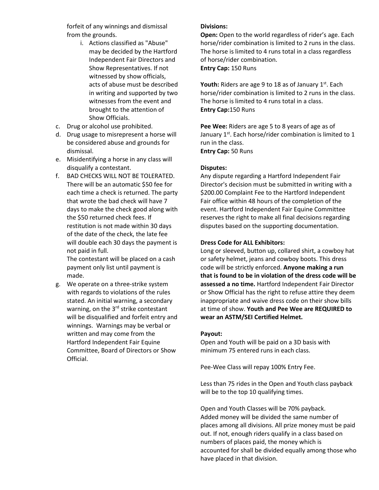forfeit of any winnings and dismissal from the grounds.

- i. Actions classified as "Abuse" may be decided by the Hartford Independent Fair Directors and Show Representatives. If not witnessed by show officials, acts of abuse must be described in writing and supported by two witnesses from the event and brought to the attention of Show Officials.
- c. Drug or alcohol use prohibited.
- d. Drug usage to misrepresent a horse will be considered abuse and grounds for dismissal.
- e. Misidentifying a horse in any class will disqualify a contestant.
- f. BAD CHECKS WILL NOT BE TOLERATED. There will be an automatic \$50 fee for each time a check is returned. The party that wrote the bad check will have 7 days to make the check good along with the \$50 returned check fees. If restitution is not made within 30 days of the date of the check, the late fee will double each 30 days the payment is not paid in full.

The contestant will be placed on a cash payment only list until payment is made.

g. We operate on a three-strike system with regards to violations of the rules stated. An initial warning, a secondary warning, on the 3<sup>rd</sup> strike contestant will be disqualified and forfeit entry and winnings. Warnings may be verbal or written and may come from the Hartford Independent Fair Equine Committee, Board of Directors or Show Official.

#### **Divisions:**

**Open:** Open to the world regardless of rider's age. Each horse/rider combination is limited to 2 runs in the class. The horse is limited to 4 runs total in a class regardless of horse/rider combination. **Entry Cap:** 150 Runs

**Youth:** Riders are age 9 to 18 as of January 1<sup>st</sup>. Each horse/rider combination is limited to 2 runs in the class. The horse is limited to 4 runs total in a class. **Entry Cap:**150 Runs

**Pee Wee:** Riders are age 5 to 8 years of age as of January  $1<sup>st</sup>$ . Each horse/rider combination is limited to 1 run in the class. **Entry Cap:** 50 Runs

#### **Disputes:**

Any dispute regarding a Hartford Independent Fair Director's decision must be submitted in writing with a \$200.00 Complaint Fee to the Hartford Independent Fair office within 48 hours of the completion of the event. Hartford Independent Fair Equine Committee reserves the right to make all final decisions regarding disputes based on the supporting documentation.

#### **Dress Code for ALL Exhibitors:**

Long or sleeved, button up, collared shirt, a cowboy hat or safety helmet, jeans and cowboy boots. This dress code will be strictly enforced. **Anyone making a run that is found to be in violation of the dress code will be assessed a no time.** Hartford Independent Fair Director or Show Official has the right to refuse attire they deem inappropriate and waive dress code on their show bills at time of show. **Youth and Pee Wee are REQUIRED to wear an ASTM/SEI Certified Helmet.** 

#### **Payout:**

Open and Youth will be paid on a 3D basis with minimum 75 entered runs in each class.

Pee-Wee Class will repay 100% Entry Fee.

Less than 75 rides in the Open and Youth class payback will be to the top 10 qualifying times.

Open and Youth Classes will be 70% payback. Added money will be divided the same number of places among all divisions. All prize money must be paid out. If not, enough riders qualify in a class based on numbers of places paid, the money which is accounted for shall be divided equally among those who have placed in that division.